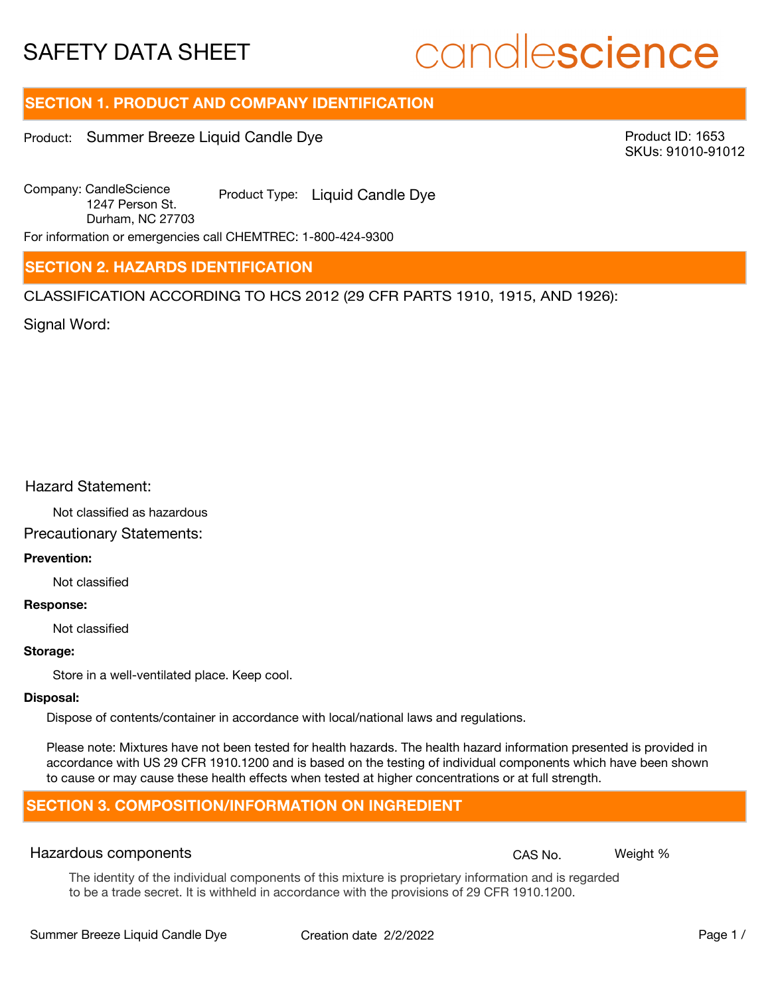# candlescience

## **SECTION 1. PRODUCT AND COMPANY IDENTIFICATION**

Product: Summer Breeze Liquid Candle Dye

Product ID: 1653 SKUs: 91010-91012

Company: Candle Science Product Type: Liquid Candle Dye 1247 Person St. Durham, NC 27703

For information or emergencies call CHEMTREC: 1-800-424-9300

## **SECTION 2. HAZARDS IDENTIFICATION**

CLASSIFICATION ACCORDING TO HCS 2012 (29 CFR PARTS 1910, 1915, AND 1926):

Signal Word:

## Hazard Statement:

Not classified as hazardous

## Precautionary Statements:

## **Prevention:**

Not classified

#### **Response:**

Not classified

## **Storage:**

Store in a well-ventilated place. Keep cool.

#### **Disposal:**

Dispose of contents/container in accordance with local/national laws and regulations.

Please note: Mixtures have not been tested for health hazards. The health hazard information presented is provided in accordance with US 29 CFR 1910.1200 and is based on the testing of individual components which have been shown to cause or may cause these health effects when tested at higher concentrations or at full strength.

## **SECTION 3. COMPOSITION/INFORMATION ON INGREDIENT**

## Hazardous components **CAS No. Weight %** and CAS No. Weight %

The identity of the individual components of this mixture is proprietary information and is regarded to be a trade secret. It is withheld in accordance with the provisions of 29 CFR 1910.1200.

Summer Breeze Liquid Candle Dye Creation date 2/2/2022 Page 1 /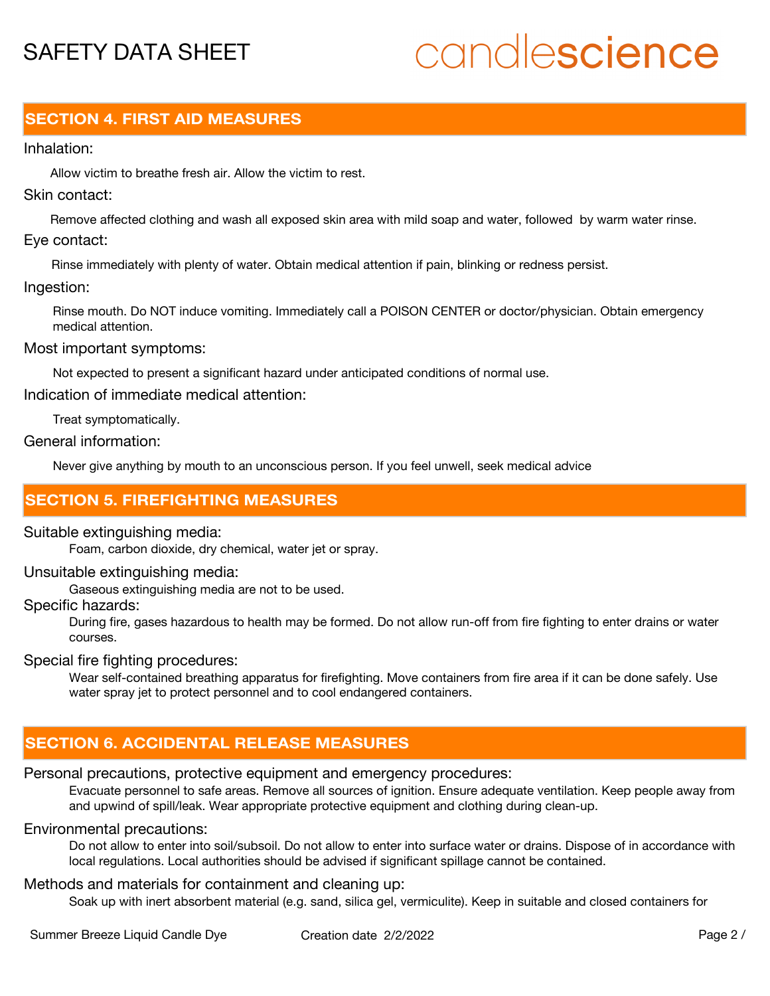# candlescience

## **SECTION 4. FIRST AID MEASURES**

## Inhalation:

Allow victim to breathe fresh air. Allow the victim to rest.

## Skin contact:

Remove affected clothing and wash all exposed skin area with mild soap and water, followed by warm water rinse. Eye contact:

Rinse immediately with plenty of water. Obtain medical attention if pain, blinking or redness persist.

## Ingestion:

Rinse mouth. Do NOT induce vomiting. Immediately call a POISON CENTER or doctor/physician. Obtain emergency medical attention.

## Most important symptoms:

Not expected to present a significant hazard under anticipated conditions of normal use.

Indication of immediate medical attention:

Treat symptomatically.

## General information:

Never give anything by mouth to an unconscious person. If you feel unwell, seek medical advice

## **SECTION 5. FIREFIGHTING MEASURES**

## Suitable extinguishing media:

Foam, carbon dioxide, dry chemical, water jet or spray.

## Unsuitable extinguishing media:

Gaseous extinguishing media are not to be used.

## Specific hazards:

During fire, gases hazardous to health may be formed. Do not allow run-off from fire fighting to enter drains or water courses.

## Special fire fighting procedures:

Wear self-contained breathing apparatus for firefighting. Move containers from fire area if it can be done safely. Use water spray jet to protect personnel and to cool endangered containers.

## **SECTION 6. ACCIDENTAL RELEASE MEASURES**

## Personal precautions, protective equipment and emergency procedures:

Evacuate personnel to safe areas. Remove all sources of ignition. Ensure adequate ventilation. Keep people away from and upwind of spill/leak. Wear appropriate protective equipment and clothing during clean-up.

## Environmental precautions:

Do not allow to enter into soil/subsoil. Do not allow to enter into surface water or drains. Dispose of in accordance with local regulations. Local authorities should be advised if significant spillage cannot be contained.

## Methods and materials for containment and cleaning up:

Soak up with inert absorbent material (e.g. sand, silica gel, vermiculite). Keep in suitable and closed containers for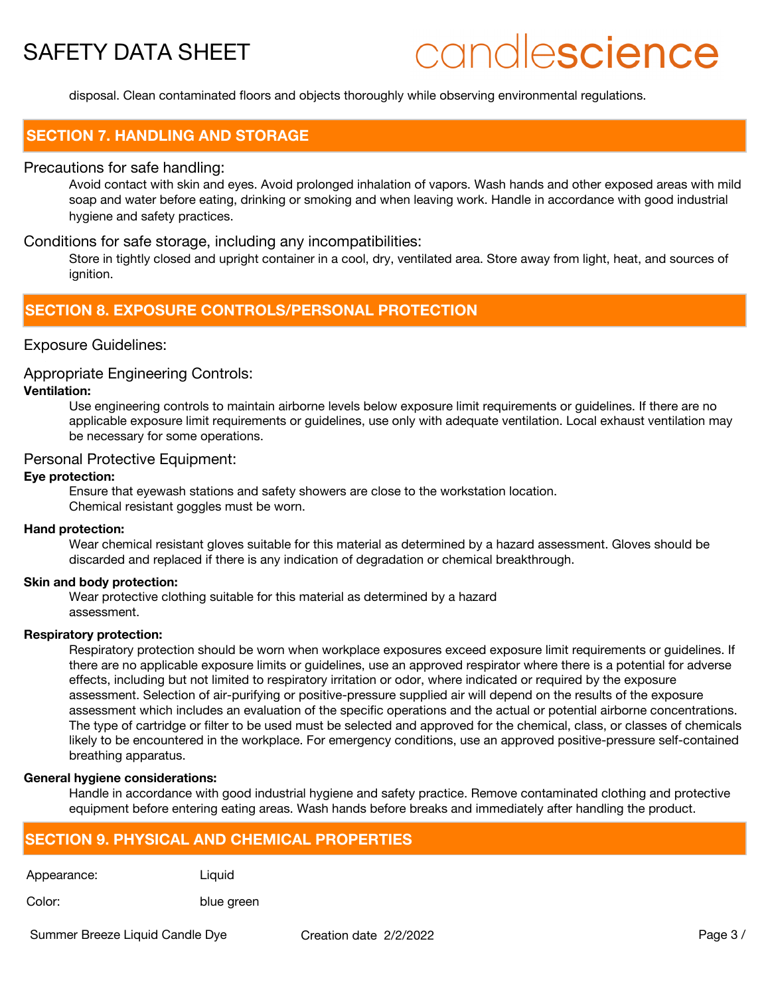# candlescience

disposal. Clean contaminated floors and objects thoroughly while observing environmental regulations.

## **SECTION 7. HANDLING AND STORAGE**

## Precautions for safe handling:

Avoid contact with skin and eyes. Avoid prolonged inhalation of vapors. Wash hands and other exposed areas with mild soap and water before eating, drinking or smoking and when leaving work. Handle in accordance with good industrial hygiene and safety practices.

## Conditions for safe storage, including any incompatibilities:

Store in tightly closed and upright container in a cool, dry, ventilated area. Store away from light, heat, and sources of ignition.

## **SECTION 8. EXPOSURE CONTROLS/PERSONAL PROTECTION**

## Exposure Guidelines:

### Appropriate Engineering Controls:

## **Ventilation:**

Use engineering controls to maintain airborne levels below exposure limit requirements or guidelines. If there are no applicable exposure limit requirements or guidelines, use only with adequate ventilation. Local exhaust ventilation may be necessary for some operations.

## Personal Protective Equipment:

### **Eye protection:**

Ensure that eyewash stations and safety showers are close to the workstation location. Chemical resistant goggles must be worn.

#### **Hand protection:**

Wear chemical resistant gloves suitable for this material as determined by a hazard assessment. Gloves should be discarded and replaced if there is any indication of degradation or chemical breakthrough.

#### **Skin and body protection:**

Wear protective clothing suitable for this material as determined by a hazard assessment.

### **Respiratory protection:**

Respiratory protection should be worn when workplace exposures exceed exposure limit requirements or guidelines. If there are no applicable exposure limits or guidelines, use an approved respirator where there is a potential for adverse effects, including but not limited to respiratory irritation or odor, where indicated or required by the exposure assessment. Selection of air-purifying or positive-pressure supplied air will depend on the results of the exposure assessment which includes an evaluation of the specific operations and the actual or potential airborne concentrations. The type of cartridge or filter to be used must be selected and approved for the chemical, class, or classes of chemicals likely to be encountered in the workplace. For emergency conditions, use an approved positive-pressure self-contained breathing apparatus.

#### **General hygiene considerations:**

Handle in accordance with good industrial hygiene and safety practice. Remove contaminated clothing and protective equipment before entering eating areas. Wash hands before breaks and immediately after handling the product.

## **SECTION 9. PHYSICAL AND CHEMICAL PROPERTIES**

Appearance: Liquid

Color: blue green

Summer Breeze Liquid Candle Dye Creation date 2/2/2022 Page 3 /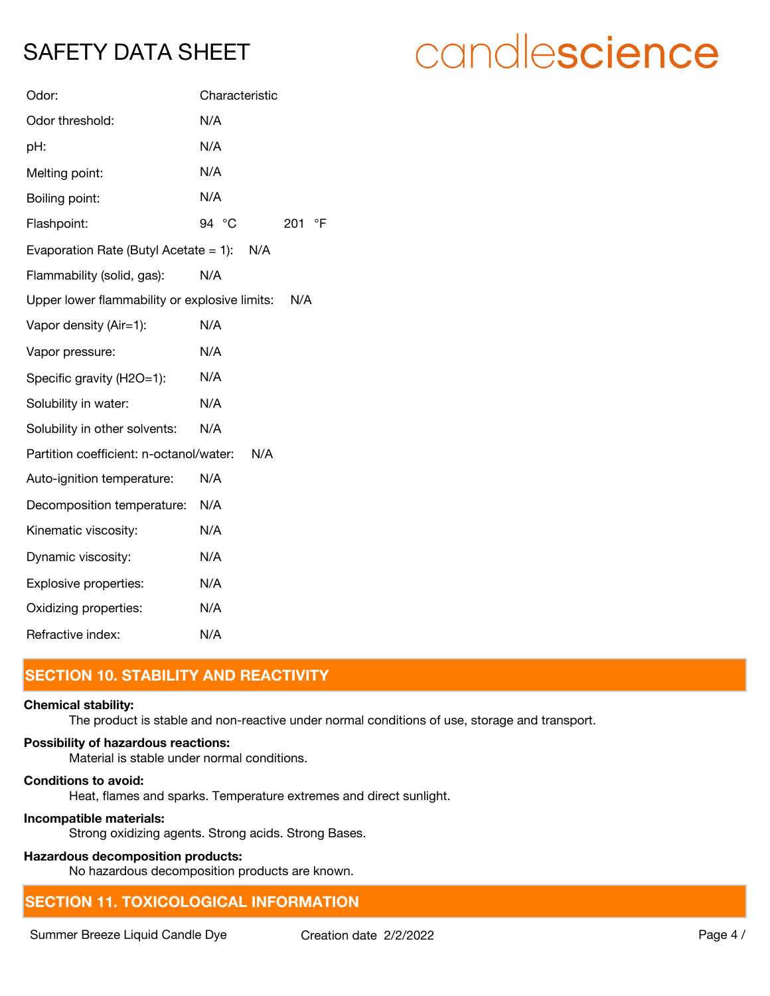| Odor:                                                | Characteristic |
|------------------------------------------------------|----------------|
| Odor threshold:                                      | N/A            |
| pH:                                                  | N/A            |
| Melting point:                                       | N/A            |
| Boiling point:                                       | N/A            |
| Flashpoint:                                          | 94 °C<br>201   |
| Evaporation Rate (Butyl Acetate $= 1$ ):<br>N/A      |                |
| Flammability (solid, gas):                           | N/A            |
| Upper lower flammability or explosive limits:<br>N/A |                |
| Vapor density (Air=1):                               | N/A            |
| Vapor pressure:                                      | N/A            |
| Specific gravity (H2O=1):                            | N/A            |
| Solubility in water:                                 | N/A            |
| Solubility in other solvents:                        | N/A            |
| Partition coefficient: n-octanol/water:              | N/A            |
| Auto-ignition temperature:                           | N/A            |
| Decomposition temperature:                           | N/A            |
| Kinematic viscosity:                                 | N/A            |
| Dynamic viscosity:                                   | N/A            |
| Explosive properties:                                | N/A            |
| Oxidizing properties:                                | N/A            |
| Refractive index:                                    | N/A            |

## **SECTION 10. STABILITY AND REACTIVITY**

## **Chemical stability:**

The product is stable and non-reactive under normal conditions of use, storage and transport.

 $\circ$ F

## **Possibility of hazardous reactions:**

Material is stable under normal conditions.

## **Conditions to avoid:**

Heat, flames and sparks. Temperature extremes and direct sunlight.

## **Incompatible materials:**

Strong oxidizing agents. Strong acids. Strong Bases.

## **Hazardous decomposition products:**

No hazardous decomposition products are known.

## **SECTION 11. TOXICOLOGICAL INFORMATION**

Summer Breeze Liquid Candle Dye Creation date 2/2/2022 Canadian Assembly Page 4 /

# candlescience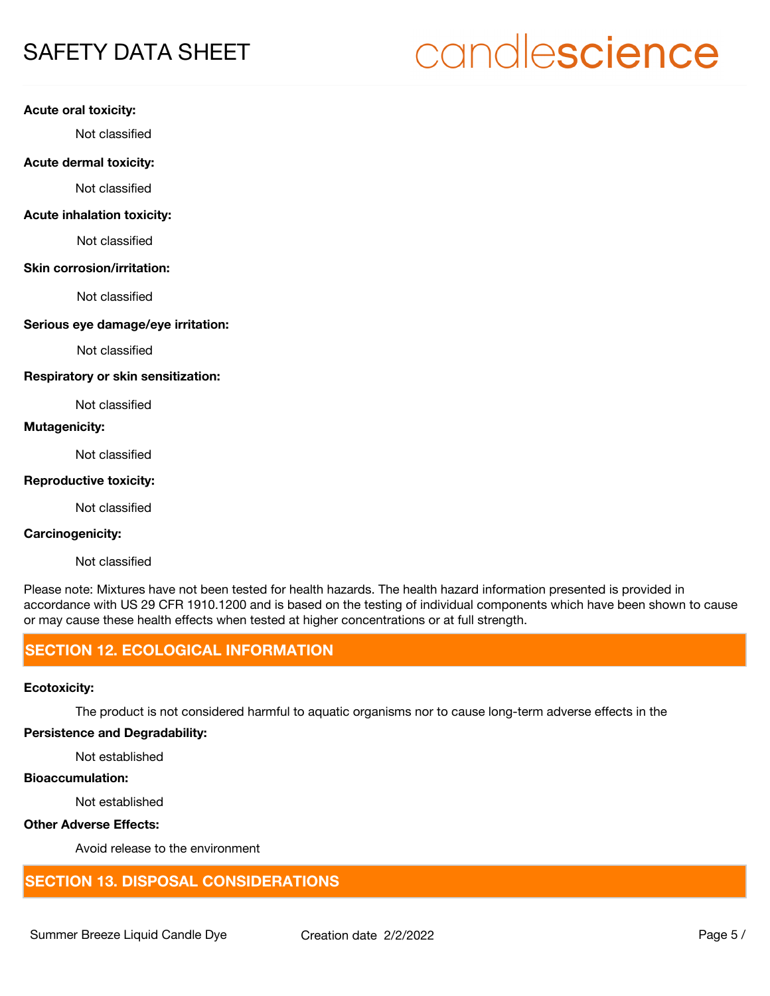# candlescience

### **Acute oral toxicity:**

Not classified

#### **Acute dermal toxicity:**

Not classified

## **Acute inhalation toxicity:**

Not classified

#### **Skin corrosion/irritation:**

Not classified

## **Serious eye damage/eye irritation:**

Not classified

### **Respiratory or skin sensitization:**

Not classified

## **Mutagenicity:**

Not classified

## **Reproductive toxicity:**

Not classified

## **Carcinogenicity:**

Not classified

Please note: Mixtures have not been tested for health hazards. The health hazard information presented is provided in accordance with US 29 CFR 1910.1200 and is based on the testing of individual components which have been shown to cause or may cause these health effects when tested at higher concentrations or at full strength.

## **SECTION 12. ECOLOGICAL INFORMATION**

## **Ecotoxicity:**

The product is not considered harmful to aquatic organisms nor to cause long-term adverse effects in the

## **Persistence and Degradability:**

Not established

## **Bioaccumulation:**

Not established

## **Other Adverse Effects:**

Avoid release to the environment

## **SECTION 13. DISPOSAL CONSIDERATIONS**

Summer Breeze Liquid Candle Dye Creation date  $2/2/2022$  Page 5 /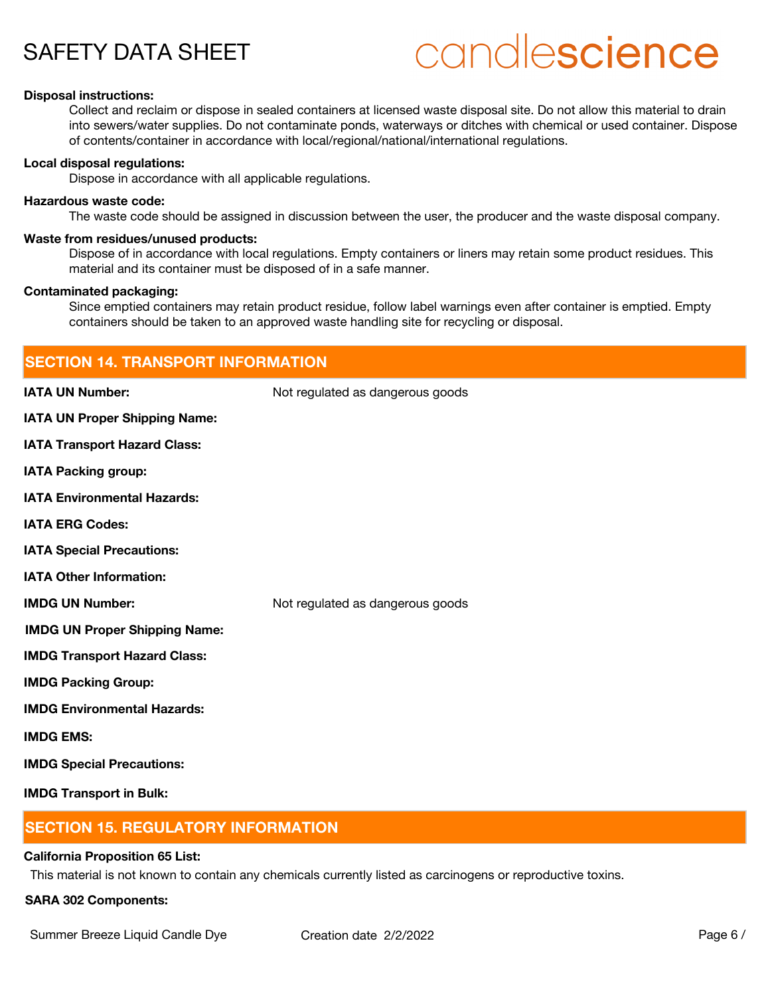# candlescience

### **Disposal instructions:**

Collect and reclaim or dispose in sealed containers at licensed waste disposal site. Do not allow this material to drain into sewers/water supplies. Do not contaminate ponds, waterways or ditches with chemical or used container. Dispose of contents/container in accordance with local/regional/national/international regulations.

#### **Local disposal regulations:**

Dispose in accordance with all applicable regulations.

#### **Hazardous waste code:**

The waste code should be assigned in discussion between the user, the producer and the waste disposal company.

#### **Waste from residues/unused products:**

Dispose of in accordance with local regulations. Empty containers or liners may retain some product residues. This material and its container must be disposed of in a safe manner.

#### **Contaminated packaging:**

Since emptied containers may retain product residue, follow label warnings even after container is emptied. Empty containers should be taken to an approved waste handling site for recycling or disposal.

| <b>SECTION 14. TRANSPORT INFORMATION</b> |                                  |  |
|------------------------------------------|----------------------------------|--|
| <b>IATA UN Number:</b>                   | Not regulated as dangerous goods |  |
| <b>IATA UN Proper Shipping Name:</b>     |                                  |  |
| <b>IATA Transport Hazard Class:</b>      |                                  |  |
| <b>IATA Packing group:</b>               |                                  |  |
| <b>IATA Environmental Hazards:</b>       |                                  |  |
| <b>IATA ERG Codes:</b>                   |                                  |  |
| <b>IATA Special Precautions:</b>         |                                  |  |
| <b>IATA Other Information:</b>           |                                  |  |
| <b>IMDG UN Number:</b>                   | Not regulated as dangerous goods |  |
| <b>IMDG UN Proper Shipping Name:</b>     |                                  |  |
| <b>IMDG Transport Hazard Class:</b>      |                                  |  |
| <b>IMDG Packing Group:</b>               |                                  |  |
| <b>IMDG Environmental Hazards:</b>       |                                  |  |
| <b>IMDG EMS:</b>                         |                                  |  |
| <b>IMDG Special Precautions:</b>         |                                  |  |
| <b>IMDG Transport in Bulk:</b>           |                                  |  |

## **SECTION 15. REGULATORY INFORMATION**

### **California Proposition 65 List:**

This material is not known to contain any chemicals currently listed as carcinogens or reproductive toxins.

### **SARA 302 Components:**

Summer Breeze Liquid Candle Dye Creation date  $2/2/2022$  Page 6 /